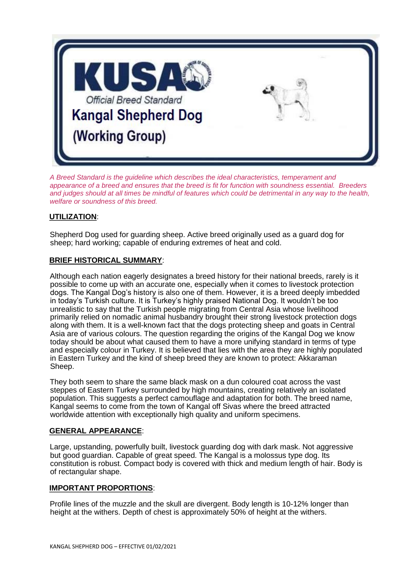

*A Breed Standard is the guideline which describes the ideal characteristics, temperament and appearance of a breed and ensures that the breed is fit for function with soundness essential. Breeders and judges should at all times be mindful of features which could be detrimental in any way to the health, welfare or soundness of this breed.*

# **UTILIZATION**:

Shepherd Dog used for guarding sheep. Active breed originally used as a guard dog for sheep; hard working; capable of enduring extremes of heat and cold.

## **BRIEF HISTORICAL SUMMARY**:

Although each nation eagerly designates a breed history for their national breeds, rarely is it possible to come up with an accurate one, especially when it comes to livestock protection dogs. The Kangal Dog's history is also one of them. However, it is a breed deeply imbedded in today's Turkish culture. It is Turkey's highly praised National Dog. It wouldn't be too unrealistic to say that the Turkish people migrating from Central Asia whose livelihood primarily relied on nomadic animal husbandry brought their strong livestock protection dogs along with them. It is a well-known fact that the dogs protecting sheep and goats in Central Asia are of various colours. The question regarding the origins of the Kangal Dog we know today should be about what caused them to have a more unifying standard in terms of type and especially colour in Turkey. It is believed that lies with the area they are highly populated in Eastern Turkey and the kind of sheep breed they are known to protect: Akkaraman Sheep.

They both seem to share the same black mask on a dun coloured coat across the vast steppes of Eastern Turkey surrounded by high mountains, creating relatively an isolated population. This suggests a perfect camouflage and adaptation for both. The breed name, Kangal seems to come from the town of Kangal off Sivas where the breed attracted worldwide attention with exceptionally high quality and uniform specimens.

## **GENERAL APPEARANCE**:

Large, upstanding, powerfully built, livestock guarding dog with dark mask. Not aggressive but good guardian. Capable of great speed. The Kangal is a molossus type dog. Its constitution is robust. Compact body is covered with thick and medium length of hair. Body is of rectangular shape.

## **IMPORTANT PROPORTIONS**:

Profile lines of the muzzle and the skull are divergent. Body length is 10-12% longer than height at the withers. Depth of chest is approximately 50% of height at the withers.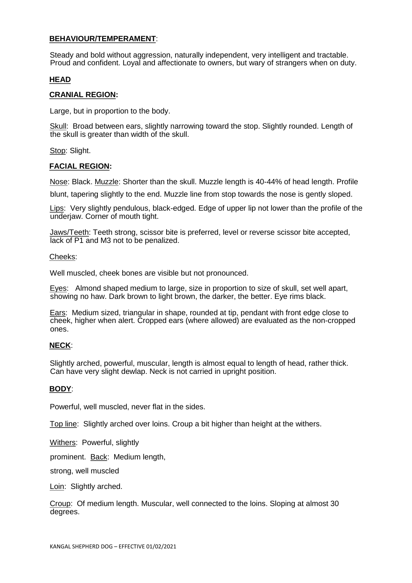## **BEHAVIOUR/TEMPERAMENT**:

Steady and bold without aggression, naturally independent, very intelligent and tractable. Proud and confident. Loyal and affectionate to owners, but wary of strangers when on duty.

## **HEAD**

#### **CRANIAL REGION:**

Large, but in proportion to the body.

Skull: Broad between ears, slightly narrowing toward the stop. Slightly rounded. Length of the skull is greater than width of the skull.

Stop: Slight.

## **FACIAL REGION:**

Nose: Black. Muzzle: Shorter than the skull. Muzzle length is 40-44% of head length. Profile

blunt, tapering slightly to the end. Muzzle line from stop towards the nose is gently sloped.

Lips: Very slightly pendulous, black-edged. Edge of upper lip not lower than the profile of the underjaw. Corner of mouth tight.

Jaws/Teeth: Teeth strong, scissor bite is preferred, level or reverse scissor bite accepted, lack of P1 and M3 not to be penalized.

#### Cheeks:

Well muscled, cheek bones are visible but not pronounced.

Eyes: Almond shaped medium to large, size in proportion to size of skull, set well apart, showing no haw. Dark brown to light brown, the darker, the better. Eye rims black.

Ears: Medium sized, triangular in shape, rounded at tip, pendant with front edge close to cheek, higher when alert. Cropped ears (where allowed) are evaluated as the non-cropped ones.

## **NECK**:

Slightly arched, powerful, muscular, length is almost equal to length of head, rather thick. Can have very slight dewlap. Neck is not carried in upright position.

## **BODY**:

Powerful, well muscled, never flat in the sides.

Top line: Slightly arched over loins. Croup a bit higher than height at the withers.

Withers: Powerful, slightly

prominent. Back: Medium length,

strong, well muscled

Loin: Slightly arched.

Croup: Of medium length. Muscular, well connected to the loins. Sloping at almost 30 degrees.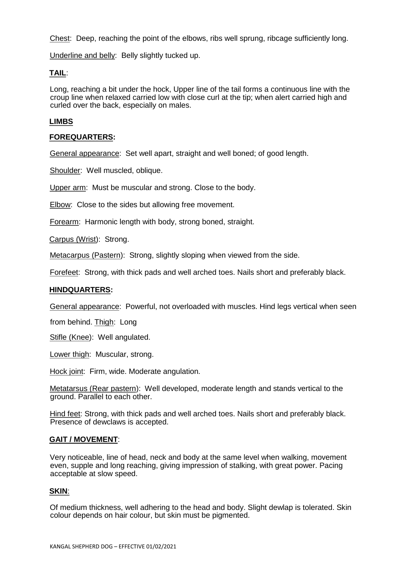Chest: Deep, reaching the point of the elbows, ribs well sprung, ribcage sufficiently long.

Underline and belly: Belly slightly tucked up.

## **TAIL**:

Long, reaching a bit under the hock, Upper line of the tail forms a continuous line with the croup line when relaxed carried low with close curl at the tip; when alert carried high and curled over the back, especially on males.

### **LIMBS**

### **FOREQUARTERS:**

General appearance: Set well apart, straight and well boned; of good length.

Shoulder: Well muscled, oblique.

Upper arm: Must be muscular and strong. Close to the body.

Elbow: Close to the sides but allowing free movement.

Forearm: Harmonic length with body, strong boned, straight.

Carpus (Wrist): Strong.

Metacarpus (Pastern): Strong, slightly sloping when viewed from the side.

Forefeet: Strong, with thick pads and well arched toes. Nails short and preferably black.

#### **HINDQUARTERS:**

General appearance: Powerful, not overloaded with muscles. Hind legs vertical when seen

from behind. Thigh: Long

Stifle (Knee): Well angulated.

Lower thigh: Muscular, strong.

Hock joint: Firm, wide. Moderate angulation.

Metatarsus (Rear pastern): Well developed, moderate length and stands vertical to the ground. Parallel to each other.

Hind feet: Strong, with thick pads and well arched toes. Nails short and preferably black. Presence of dewclaws is accepted.

#### **GAIT / MOVEMENT**:

Very noticeable, line of head, neck and body at the same level when walking, movement even, supple and long reaching, giving impression of stalking, with great power. Pacing acceptable at slow speed.

## **SKIN**:

Of medium thickness, well adhering to the head and body. Slight dewlap is tolerated. Skin colour depends on hair colour, but skin must be pigmented.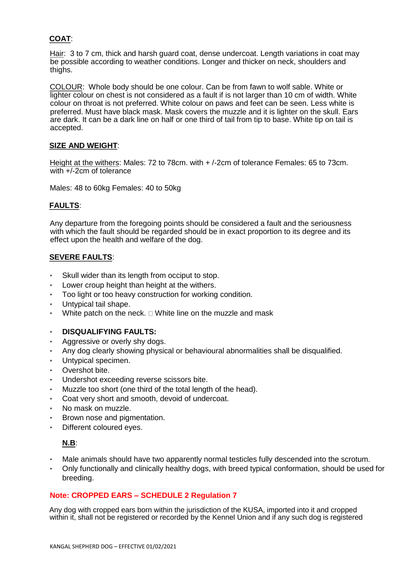# **COAT**:

Hair: 3 to 7 cm, thick and harsh guard coat, dense undercoat. Length variations in coat may be possible according to weather conditions. Longer and thicker on neck, shoulders and thighs.

COLOUR: Whole body should be one colour. Can be from fawn to wolf sable. White or lighter colour on chest is not considered as a fault if is not larger than 10 cm of width. White colour on throat is not preferred. White colour on paws and feet can be seen. Less white is preferred. Must have black mask. Mask covers the muzzle and it is lighter on the skull. Ears are dark. It can be a dark line on half or one third of tail from tip to base. White tip on tail is accepted.

## **SIZE AND WEIGHT**:

Height at the withers: Males: 72 to 78cm. with + /-2cm of tolerance Females: 65 to 73cm. with +/-2cm of tolerance

Males: 48 to 60kg Females: 40 to 50kg

## **FAULTS**:

Any departure from the foregoing points should be considered a fault and the seriousness with which the fault should be regarded should be in exact proportion to its degree and its effect upon the health and welfare of the dog.

## **SEVERE FAULTS**:

- Skull wider than its length from occiput to stop.
- Lower croup height than height at the withers.
- Too light or too heavy construction for working condition.
- Untypical tail shape.
- White patch on the neck.  $\Box$  White line on the muzzle and mask

## • **DISQUALIFYING FAULTS:**

- Aggressive or overly shy dogs.
- Any dog clearly showing physical or behavioural abnormalities shall be disqualified.
- Untypical specimen.
- Overshot bite.
- Undershot exceeding reverse scissors bite.
- Muzzle too short (one third of the total length of the head).
- Coat very short and smooth, devoid of undercoat.
- No mask on muzzle.
- Brown nose and pigmentation.
- Different coloured eves.

## **N.B**:

- Male animals should have two apparently normal testicles fully descended into the scrotum.
- Only functionally and clinically healthy dogs, with breed typical conformation, should be used for breeding.

## **Note: CROPPED EARS – SCHEDULE 2 Regulation 7**

Any dog with cropped ears born within the jurisdiction of the KUSA, imported into it and cropped within it, shall not be registered or recorded by the Kennel Union and if any such dog is registered